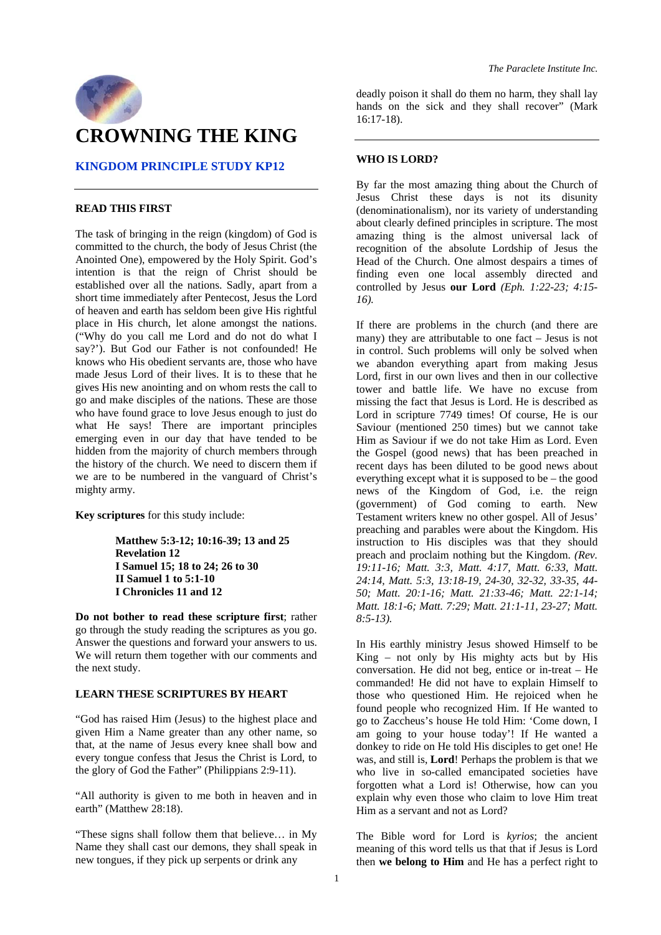

## **KINGDOM PRINCIPLE STUDY KP12**

#### **READ THIS FIRST**

The task of bringing in the reign (kingdom) of God is committed to the church, the body of Jesus Christ (the Anointed One), empowered by the Holy Spirit. God's intention is that the reign of Christ should be established over all the nations. Sadly, apart from a short time immediately after Pentecost, Jesus the Lord of heaven and earth has seldom been give His rightful place in His church, let alone amongst the nations. ("Why do you call me Lord and do not do what I say?'). But God our Father is not confounded! He knows who His obedient servants are, those who have made Jesus Lord of their lives. It is to these that he gives His new anointing and on whom rests the call to go and make disciples of the nations. These are those who have found grace to love Jesus enough to just do what He says! There are important principles emerging even in our day that have tended to be hidden from the majority of church members through the history of the church. We need to discern them if we are to be numbered in the vanguard of Christ's mighty army.

**Key scriptures** for this study include:

**Matthew 5:3-12; 10:16-39; 13 and 25 Revelation 12 I Samuel 15; 18 to 24; 26 to 30 II Samuel 1 to 5:1-10 I Chronicles 11 and 12** 

**Do not bother to read these scripture first**; rather go through the study reading the scriptures as you go. Answer the questions and forward your answers to us. We will return them together with our comments and the next study.

#### **LEARN THESE SCRIPTURES BY HEART**

"God has raised Him (Jesus) to the highest place and given Him a Name greater than any other name, so that, at the name of Jesus every knee shall bow and every tongue confess that Jesus the Christ is Lord, to the glory of God the Father" (Philippians 2:9-11).

"All authority is given to me both in heaven and in earth" (Matthew 28:18).

"These signs shall follow them that believe… in My Name they shall cast our demons, they shall speak in new tongues, if they pick up serpents or drink any

deadly poison it shall do them no harm, they shall lay hands on the sick and they shall recover" (Mark 16:17-18).

#### **WHO IS LORD?**

By far the most amazing thing about the Church of Jesus Christ these days is not its disunity (denominationalism), nor its variety of understanding about clearly defined principles in scripture. The most amazing thing is the almost universal lack of recognition of the absolute Lordship of Jesus the Head of the Church. One almost despairs a times of finding even one local assembly directed and controlled by Jesus **our Lord** *(Eph. 1:22-23; 4:15- 16).* 

If there are problems in the church (and there are many) they are attributable to one fact – Jesus is not in control. Such problems will only be solved when we abandon everything apart from making Jesus Lord, first in our own lives and then in our collective tower and battle life. We have no excuse from missing the fact that Jesus is Lord. He is described as Lord in scripture 7749 times! Of course, He is our Saviour (mentioned 250 times) but we cannot take Him as Saviour if we do not take Him as Lord. Even the Gospel (good news) that has been preached in recent days has been diluted to be good news about everything except what it is supposed to be – the good news of the Kingdom of God, i.e. the reign (government) of God coming to earth. New Testament writers knew no other gospel. All of Jesus' preaching and parables were about the Kingdom. His instruction to His disciples was that they should preach and proclaim nothing but the Kingdom. *(Rev. 19:11-16; Matt. 3:3, Matt. 4:17, Matt. 6:33, Matt. 24:14, Matt. 5:3, 13:18-19, 24-30, 32-32, 33-35, 44- 50; Matt. 20:1-16; Matt. 21:33-46; Matt. 22:1-14; Matt. 18:1-6; Matt. 7:29; Matt. 21:1-11, 23-27; Matt. 8:5-13).* 

In His earthly ministry Jesus showed Himself to be King – not only by His mighty acts but by His conversation. He did not beg, entice or in-treat – He commanded! He did not have to explain Himself to those who questioned Him. He rejoiced when he found people who recognized Him. If He wanted to go to Zaccheus's house He told Him: 'Come down, I am going to your house today'! If He wanted a donkey to ride on He told His disciples to get one! He was, and still is, **Lord**! Perhaps the problem is that we who live in so-called emancipated societies have forgotten what a Lord is! Otherwise, how can you explain why even those who claim to love Him treat Him as a servant and not as Lord?

The Bible word for Lord is *kyrios*; the ancient meaning of this word tells us that that if Jesus is Lord then **we belong to Him** and He has a perfect right to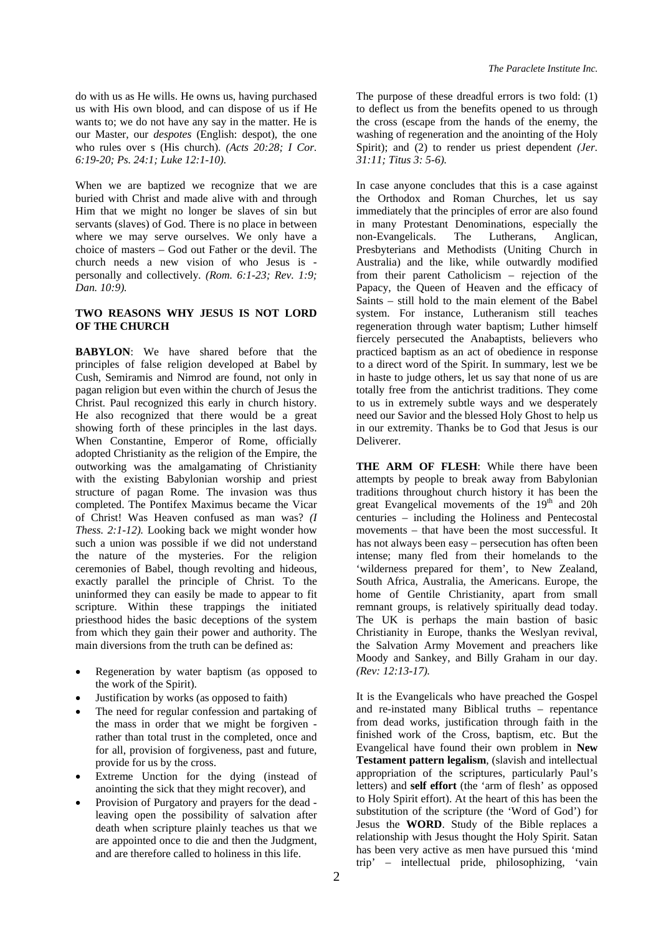do with us as He wills. He owns us, having purchased us with His own blood, and can dispose of us if He wants to; we do not have any say in the matter. He is our Master, our *despotes* (English: despot), the one who rules over s (His church). *(Acts 20:28; I Cor. 6:19-20; Ps. 24:1; Luke 12:1-10).* 

When we are baptized we recognize that we are buried with Christ and made alive with and through Him that we might no longer be slaves of sin but servants (slaves) of God. There is no place in between where we may serve ourselves. We only have a choice of masters – God out Father or the devil. The church needs a new vision of who Jesus is personally and collectively*. (Rom. 6:1-23; Rev. 1:9; Dan. 10:9).* 

## **TWO REASONS WHY JESUS IS NOT LORD OF THE CHURCH**

**BABYLON**: We have shared before that the principles of false religion developed at Babel by Cush, Semiramis and Nimrod are found, not only in pagan religion but even within the church of Jesus the Christ. Paul recognized this early in church history. He also recognized that there would be a great showing forth of these principles in the last days. When Constantine, Emperor of Rome, officially adopted Christianity as the religion of the Empire, the outworking was the amalgamating of Christianity with the existing Babylonian worship and priest structure of pagan Rome. The invasion was thus completed. The Pontifex Maximus became the Vicar of Christ! Was Heaven confused as man was? *(I Thess. 2:1-12).* Looking back we might wonder how such a union was possible if we did not understand the nature of the mysteries. For the religion ceremonies of Babel, though revolting and hideous, exactly parallel the principle of Christ. To the uninformed they can easily be made to appear to fit scripture. Within these trappings the initiated priesthood hides the basic deceptions of the system from which they gain their power and authority. The main diversions from the truth can be defined as:

- Regeneration by water baptism (as opposed to the work of the Spirit).
- Justification by works (as opposed to faith)
- The need for regular confession and partaking of the mass in order that we might be forgiven rather than total trust in the completed, once and for all, provision of forgiveness, past and future, provide for us by the cross.
- Extreme Unction for the dying (instead of anointing the sick that they might recover), and
- Provision of Purgatory and prayers for the dead leaving open the possibility of salvation after death when scripture plainly teaches us that we are appointed once to die and then the Judgment, and are therefore called to holiness in this life.

The purpose of these dreadful errors is two fold: (1) to deflect us from the benefits opened to us through the cross (escape from the hands of the enemy, the washing of regeneration and the anointing of the Holy Spirit); and (2) to render us priest dependent *(Jer. 31:11; Titus 3: 5-6).* 

In case anyone concludes that this is a case against the Orthodox and Roman Churches, let us say immediately that the principles of error are also found in many Protestant Denominations, especially the non-Evangelicals. The Lutherans, Anglican, Presbyterians and Methodists (Uniting Church in Australia) and the like, while outwardly modified from their parent Catholicism – rejection of the Papacy, the Queen of Heaven and the efficacy of Saints – still hold to the main element of the Babel system. For instance, Lutheranism still teaches regeneration through water baptism; Luther himself fiercely persecuted the Anabaptists, believers who practiced baptism as an act of obedience in response to a direct word of the Spirit. In summary, lest we be in haste to judge others, let us say that none of us are totally free from the antichrist traditions. They come to us in extremely subtle ways and we desperately need our Savior and the blessed Holy Ghost to help us in our extremity. Thanks be to God that Jesus is our Deliverer.

**THE ARM OF FLESH**: While there have been attempts by people to break away from Babylonian traditions throughout church history it has been the great Evangelical movements of the 19<sup>th</sup> and 20h centuries – including the Holiness and Pentecostal movements – that have been the most successful. It has not always been easy – persecution has often been intense; many fled from their homelands to the 'wilderness prepared for them', to New Zealand, South Africa, Australia, the Americans. Europe, the home of Gentile Christianity, apart from small remnant groups, is relatively spiritually dead today. The UK is perhaps the main bastion of basic Christianity in Europe, thanks the Weslyan revival, the Salvation Army Movement and preachers like Moody and Sankey, and Billy Graham in our day. *(Rev: 12:13-17).* 

It is the Evangelicals who have preached the Gospel and re-instated many Biblical truths – repentance from dead works, justification through faith in the finished work of the Cross, baptism, etc. But the Evangelical have found their own problem in **New Testament pattern legalism**, (slavish and intellectual appropriation of the scriptures, particularly Paul's letters) and **self effort** (the 'arm of flesh' as opposed to Holy Spirit effort). At the heart of this has been the substitution of the scripture (the 'Word of God') for Jesus the **WORD**. Study of the Bible replaces a relationship with Jesus thought the Holy Spirit. Satan has been very active as men have pursued this 'mind trip' – intellectual pride, philosophizing, 'vain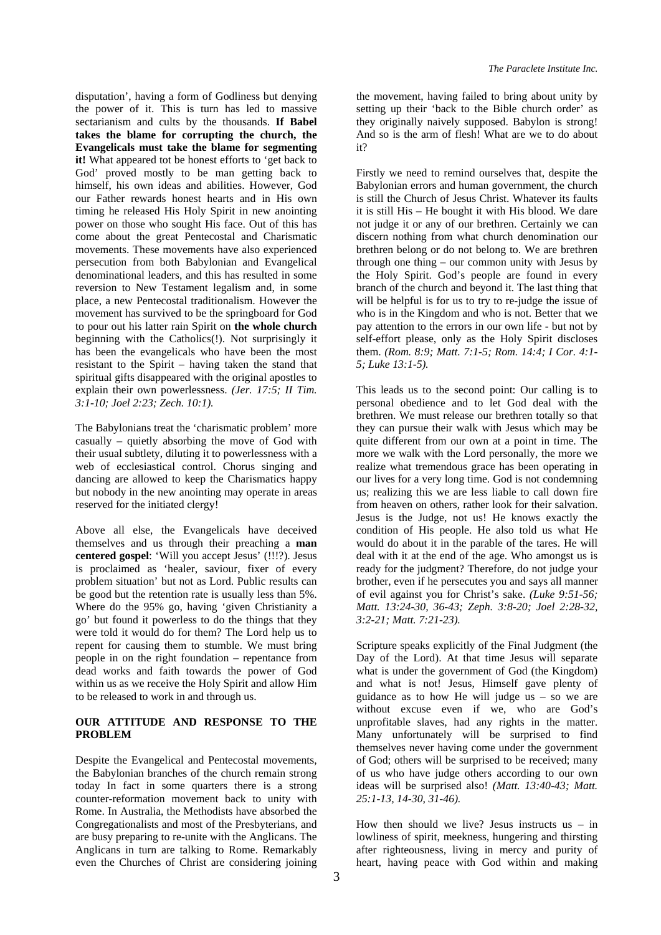disputation', having a form of Godliness but denying the power of it. This is turn has led to massive sectarianism and cults by the thousands. **If Babel takes the blame for corrupting the church, the Evangelicals must take the blame for segmenting it!** What appeared tot be honest efforts to 'get back to God' proved mostly to be man getting back to himself, his own ideas and abilities. However, God our Father rewards honest hearts and in His own timing he released His Holy Spirit in new anointing power on those who sought His face. Out of this has come about the great Pentecostal and Charismatic movements. These movements have also experienced persecution from both Babylonian and Evangelical denominational leaders, and this has resulted in some reversion to New Testament legalism and, in some place, a new Pentecostal traditionalism. However the movement has survived to be the springboard for God to pour out his latter rain Spirit on **the whole church** beginning with the Catholics(!). Not surprisingly it has been the evangelicals who have been the most resistant to the Spirit – having taken the stand that spiritual gifts disappeared with the original apostles to explain their own powerlessness. *(Jer. 17:5; II Tim. 3:1-10; Joel 2:23; Zech. 10:1).* 

The Babylonians treat the 'charismatic problem' more casually – quietly absorbing the move of God with their usual subtlety, diluting it to powerlessness with a web of ecclesiastical control. Chorus singing and dancing are allowed to keep the Charismatics happy but nobody in the new anointing may operate in areas reserved for the initiated clergy!

Above all else, the Evangelicals have deceived themselves and us through their preaching a **man centered gospel**: 'Will you accept Jesus' (!!!?). Jesus is proclaimed as 'healer, saviour, fixer of every problem situation' but not as Lord. Public results can be good but the retention rate is usually less than 5%. Where do the 95% go, having 'given Christianity a go' but found it powerless to do the things that they were told it would do for them? The Lord help us to repent for causing them to stumble. We must bring people in on the right foundation – repentance from dead works and faith towards the power of God within us as we receive the Holy Spirit and allow Him to be released to work in and through us.

### **OUR ATTITUDE AND RESPONSE TO THE PROBLEM**

Despite the Evangelical and Pentecostal movements, the Babylonian branches of the church remain strong today In fact in some quarters there is a strong counter-reformation movement back to unity with Rome. In Australia, the Methodists have absorbed the Congregationalists and most of the Presbyterians, and are busy preparing to re-unite with the Anglicans. The Anglicans in turn are talking to Rome. Remarkably even the Churches of Christ are considering joining

the movement, having failed to bring about unity by setting up their 'back to the Bible church order' as they originally naively supposed. Babylon is strong! And so is the arm of flesh! What are we to do about it?

Firstly we need to remind ourselves that, despite the Babylonian errors and human government, the church is still the Church of Jesus Christ. Whatever its faults it is still His – He bought it with His blood. We dare not judge it or any of our brethren. Certainly we can discern nothing from what church denomination our brethren belong or do not belong to. We are brethren through one thing – our common unity with Jesus by the Holy Spirit. God's people are found in every branch of the church and beyond it. The last thing that will be helpful is for us to try to re-judge the issue of who is in the Kingdom and who is not. Better that we pay attention to the errors in our own life - but not by self-effort please, only as the Holy Spirit discloses them. *(Rom. 8:9; Matt. 7:1-5; Rom. 14:4; I Cor. 4:1- 5; Luke 13:1-5).*

This leads us to the second point: Our calling is to personal obedience and to let God deal with the brethren. We must release our brethren totally so that they can pursue their walk with Jesus which may be quite different from our own at a point in time. The more we walk with the Lord personally, the more we realize what tremendous grace has been operating in our lives for a very long time. God is not condemning us; realizing this we are less liable to call down fire from heaven on others, rather look for their salvation. Jesus is the Judge, not us! He knows exactly the condition of His people. He also told us what He would do about it in the parable of the tares. He will deal with it at the end of the age. Who amongst us is ready for the judgment? Therefore, do not judge your brother, even if he persecutes you and says all manner of evil against you for Christ's sake. *(Luke 9:51-56; Matt. 13:24-30, 36-43; Zeph. 3:8-20; Joel 2:28-32, 3:2-21; Matt. 7:21-23).* 

Scripture speaks explicitly of the Final Judgment (the Day of the Lord). At that time Jesus will separate what is under the government of God (the Kingdom) and what is not! Jesus, Himself gave plenty of guidance as to how He will judge us – so we are without excuse even if we, who are God's unprofitable slaves, had any rights in the matter. Many unfortunately will be surprised to find themselves never having come under the government of God; others will be surprised to be received; many of us who have judge others according to our own ideas will be surprised also! *(Matt. 13:40-43; Matt. 25:1-13, 14-30, 31-46).* 

How then should we live? Jesus instructs us  $-$  in lowliness of spirit, meekness, hungering and thirsting after righteousness, living in mercy and purity of heart, having peace with God within and making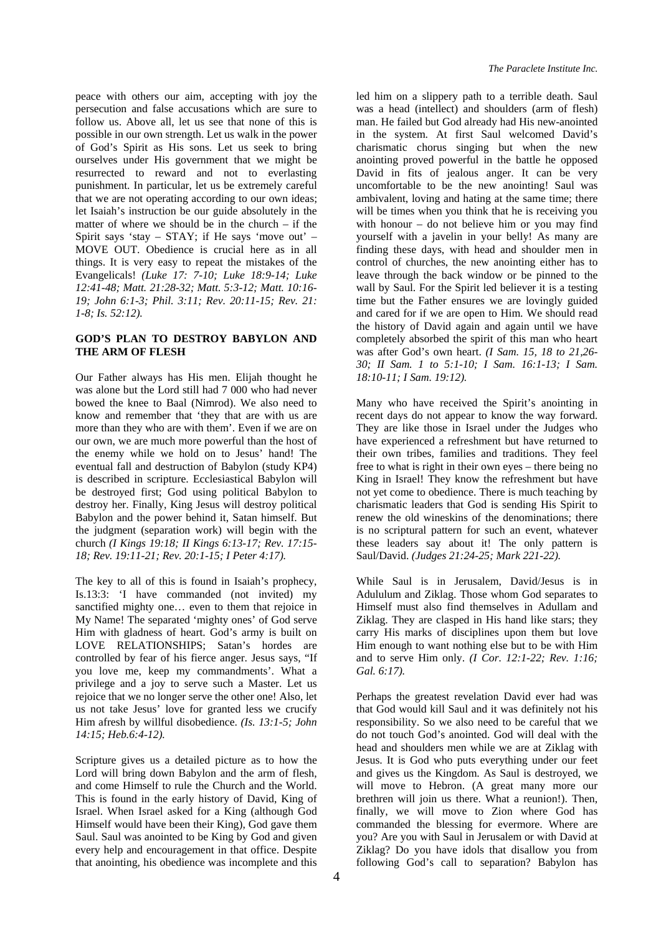peace with others our aim, accepting with joy the persecution and false accusations which are sure to follow us. Above all, let us see that none of this is possible in our own strength. Let us walk in the power of God's Spirit as His sons. Let us seek to bring ourselves under His government that we might be resurrected to reward and not to everlasting punishment. In particular, let us be extremely careful that we are not operating according to our own ideas; let Isaiah's instruction be our guide absolutely in the matter of where we should be in the church – if the Spirit says 'stay –  $STAY$ ; if He says 'move out' – MOVE OUT. Obedience is crucial here as in all things. It is very easy to repeat the mistakes of the Evangelicals! *(Luke 17: 7-10; Luke 18:9-14; Luke 12:41-48; Matt. 21:28-32; Matt. 5:3-12; Matt. 10:16- 19; John 6:1-3; Phil. 3:11; Rev. 20:11-15; Rev. 21: 1-8; Is. 52:12).* 

### **GOD'S PLAN TO DESTROY BABYLON AND THE ARM OF FLESH**

Our Father always has His men. Elijah thought he was alone but the Lord still had 7 000 who had never bowed the knee to Baal (Nimrod). We also need to know and remember that 'they that are with us are more than they who are with them'. Even if we are on our own, we are much more powerful than the host of the enemy while we hold on to Jesus' hand! The eventual fall and destruction of Babylon (study KP4) is described in scripture. Ecclesiastical Babylon will be destroyed first; God using political Babylon to destroy her. Finally, King Jesus will destroy political Babylon and the power behind it, Satan himself. But the judgment (separation work) will begin with the church *(I Kings 19:18; II Kings 6:13-17; Rev. 17:15- 18; Rev. 19:11-21; Rev. 20:1-15; I Peter 4:17).*

The key to all of this is found in Isaiah's prophecy, Is.13:3: 'I have commanded (not invited) my sanctified mighty one… even to them that rejoice in My Name! The separated 'mighty ones' of God serve Him with gladness of heart. God's army is built on LOVE RELATIONSHIPS; Satan's hordes are controlled by fear of his fierce anger. Jesus says, "If you love me, keep my commandments'. What a privilege and a joy to serve such a Master. Let us rejoice that we no longer serve the other one! Also, let us not take Jesus' love for granted less we crucify Him afresh by willful disobedience. *(Is. 13:1-5; John 14:15; Heb.6:4-12).* 

Scripture gives us a detailed picture as to how the Lord will bring down Babylon and the arm of flesh, and come Himself to rule the Church and the World. This is found in the early history of David, King of Israel. When Israel asked for a King (although God Himself would have been their King), God gave them Saul. Saul was anointed to be King by God and given every help and encouragement in that office. Despite that anointing, his obedience was incomplete and this

led him on a slippery path to a terrible death. Saul was a head (intellect) and shoulders (arm of flesh) man. He failed but God already had His new-anointed in the system. At first Saul welcomed David's charismatic chorus singing but when the new anointing proved powerful in the battle he opposed David in fits of jealous anger. It can be very uncomfortable to be the new anointing! Saul was ambivalent, loving and hating at the same time; there will be times when you think that he is receiving you with honour – do not believe him or you may find yourself with a javelin in your belly! As many are finding these days, with head and shoulder men in control of churches, the new anointing either has to leave through the back window or be pinned to the wall by Saul. For the Spirit led believer it is a testing time but the Father ensures we are lovingly guided and cared for if we are open to Him. We should read the history of David again and again until we have completely absorbed the spirit of this man who heart was after God's own heart. *(I Sam. 15, 18 to 21,26- 30; II Sam. 1 to 5:1-10; I Sam. 16:1-13; I Sam. 18:10-11; I Sam. 19:12).* 

Many who have received the Spirit's anointing in recent days do not appear to know the way forward. They are like those in Israel under the Judges who have experienced a refreshment but have returned to their own tribes, families and traditions. They feel free to what is right in their own eyes – there being no King in Israel! They know the refreshment but have not yet come to obedience. There is much teaching by charismatic leaders that God is sending His Spirit to renew the old wineskins of the denominations; there is no scriptural pattern for such an event, whatever these leaders say about it! The only pattern is Saul/David. *(Judges 21:24-25; Mark 221-22).* 

While Saul is in Jerusalem, David/Jesus is in Adululum and Ziklag. Those whom God separates to Himself must also find themselves in Adullam and Ziklag. They are clasped in His hand like stars; they carry His marks of disciplines upon them but love Him enough to want nothing else but to be with Him and to serve Him only. *(I Cor. 12:1-22; Rev. 1:16; Gal. 6:17).* 

Perhaps the greatest revelation David ever had was that God would kill Saul and it was definitely not his responsibility. So we also need to be careful that we do not touch God's anointed. God will deal with the head and shoulders men while we are at Ziklag with Jesus. It is God who puts everything under our feet and gives us the Kingdom. As Saul is destroyed, we will move to Hebron. (A great many more our brethren will join us there. What a reunion!). Then, finally, we will move to Zion where God has commanded the blessing for evermore. Where are you? Are you with Saul in Jerusalem or with David at Ziklag? Do you have idols that disallow you from following God's call to separation? Babylon has